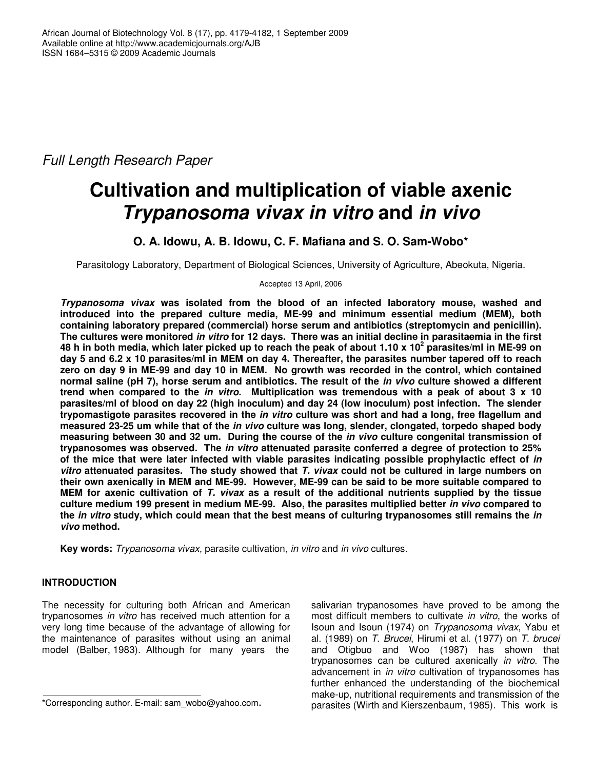*Full Length Research Paper*

# **Cultivation and multiplication of viable axenic** *Trypanosoma vivax in vitro* **and** *in vivo*

## **O. A. Idowu, A. B. Idowu, C. F. Mafiana and S. O. Sam-Wobo\***

Parasitology Laboratory, Department of Biological Sciences, University of Agriculture, Abeokuta, Nigeria.

Accepted 13 April, 2006

*Trypanosoma vivax* **was isolated from the blood of an infected laboratory mouse, washed and introduced into the prepared culture media, ME-99 and minimum essential medium (MEM), both containing laboratory prepared (commercial) horse serum and antibiotics (streptomycin and penicillin).** The cultures were monitored in vitro for 12 days. There was an initial decline in parasitaemia in the first 48 h in both media, which later picked up to reach the peak of about 1.10 x 10<sup>2</sup> parasites/ml in ME-99 on day 5 and 6.2 x 10 parasites/ml in MEM on day 4. Thereafter, the parasites number tapered off to reach zero on day 9 in ME-99 and day 10 in MEM. No growth was recorded in the control, which contained normal saline (pH 7), horse serum and antibiotics. The result of the *in vivo* culture showed a different trend when compared to the *in vitro*. Multiplication was tremendous with a peak of about 3 x 10 **parasites/ml of blood on day 22 (high inoculum) and day 24 (low inoculum) post infection. The slender trypomastigote parasites recovered in the** *in vitro* **culture was short and had a long, free flagellum and measured 23-25 um while that of the** *in vivo* **culture was long, slender, clongated, torpedo shaped body measuring between 30 and 32 um. During the course of the** *in vivo* **culture congenital transmission of trypanosomes was observed. The** *in vitro* **attenuated parasite conferred a degree of protection to 25% of the mice that were later infected with viable parasites indicating possible prophylactic effect of** *in vitro* **attenuated parasites. The study showed that** *T. vivax* **could not be cultured in large numbers on their own axenically in MEM and ME-99. However, ME-99 can be said to be more suitable compared to** MEM for axenic cultivation of T. vivax as a result of the additional nutrients supplied by the tissue **culture medium 199 present in medium ME-99. Also, the parasites multiplied better** *in vivo* **compared to** the in vitro study, which could mean that the best means of culturing trypanosomes still remains the in *vivo* **method.**

**Key words:** *Trypanosoma vivax,* parasite cultivation, *in vitro* and *in vivo* cultures.

## **INTRODUCTION**

The necessity for culturing both African and American trypanosomes *in vitro* has received much attention for a very long time because of the advantage of allowing for the maintenance of parasites without using an animal model (Balber, 1983). Although for many years the

salivarian trypanosomes have proved to be among the most difficult members to cultivate *in vitro*, the works of Isoun and Isoun (1974) on *Trypanosoma vivax*, Yabu et al. (1989) on *T. Brucei*, Hirumi et al. (1977) on *T. brucei* and Otigbuo and Woo (1987) has shown that trypanosomes can be cultured axenically *in vitro*. The advancement in *in vitro* cultivation of trypanosomes has further enhanced the understanding of the biochemical make-up, nutritional requirements and transmission of the parasites (Wirth and Kierszenbaum, 1985). This work is

<sup>\*</sup>Corresponding author. E-mail: sam\_wobo@yahoo.com.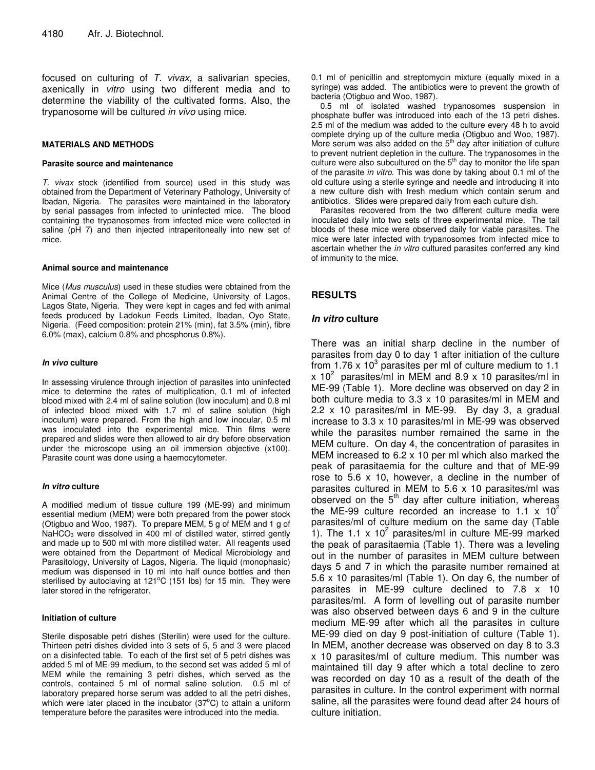focused on culturing of *T. vivax*, a salivarian species, axenically in *vitro* using two different media and to determine the viability of the cultivated forms. Also, the trypanosome will be cultured *in vivo* using mice.

#### **MATERIALS AND METHODS**

#### **Parasite source and maintenance**

*T. vivax* stock (identified from source) used in this study was obtained from the Department of Veterinary Pathology, University of Ibadan, Nigeria. The parasites were maintained in the laboratory by serial passages from infected to uninfected mice. The blood containing the trypanosomes from infected mice were collected in saline (pH 7) and then injected intraperitoneally into new set of mice.

#### **Animal source and maintenance**

Mice (*Mus musculus*) used in these studies were obtained from the Animal Centre of the College of Medicine, University of Lagos, Lagos State, Nigeria. They were kept in cages and fed with animal feeds produced by Ladokun Feeds Limited, Ibadan, Oyo State, Nigeria. (Feed composition: protein 21% (min), fat 3.5% (min), fibre 6.0% (max), calcium 0.8% and phosphorus 0.8%).

#### *In vivo* **culture**

In assessing virulence through injection of parasites into uninfected mice to determine the rates of multiplication, 0.1 ml of infected blood mixed with 2.4 ml of saline solution (low inoculum) and 0.8 ml of infected blood mixed with 1.7 ml of saline solution (high inoculum) were prepared. From the high and low inocular, 0.5 ml was inoculated into the experimental mice. Thin films were prepared and slides were then allowed to air dry before observation under the microscope using an oil immersion objective (x100). Parasite count was done using a haemocytometer.

#### *In vitro* **culture**

A modified medium of tissue culture 199 (ME-99) and minimum essential medium (MEM) were both prepared from the power stock (Otigbuo and Woo, 1987). To prepare MEM, 5 g of MEM and 1 g of NaHCO<sub>3</sub> were dissolved in 400 ml of distilled water, stirred gently and made up to 500 ml with more distilled water. All reagents used were obtained from the Department of Medical Microbiology and Parasitology, University of Lagos, Nigeria. The liquid (monophasic) medium was dispensed in 10 ml into half ounce bottles and then sterilised by autoclaving at  $121^{\circ}$ C (151 lbs) for 15 min. They were later stored in the refrigerator.

#### **Initiation of culture**

Sterile disposable petri dishes (Sterilin) were used for the culture. Thirteen petri dishes divided into 3 sets of 5, 5 and 3 were placed on a disinfected table. To each of the first set of 5 petri dishes was added 5 ml of ME-99 medium, to the second set was added 5 ml of MEM while the remaining 3 petri dishes, which served as the controls, contained 5 ml of normal saline solution. 0.5 ml of laboratory prepared horse serum was added to all the petri dishes, which were later placed in the incubator  $(37^{\circ}C)$  to attain a uniform temperature before the parasites were introduced into the media.

0.1 ml of penicillin and streptomycin mixture (equally mixed in a syringe) was added. The antibiotics were to prevent the growth of bacteria (Otigbuo and Woo, 1987).

0.5 ml of isolated washed trypanosomes suspension in phosphate buffer was introduced into each of the 13 petri dishes. 2.5 ml of the medium was added to the culture every 48 h to avoid complete drying up of the culture media (Otigbuo and Woo, 1987). More serum was also added on the  $5<sup>th</sup>$  day after initiation of culture to prevent nutrient depletion in the culture. The trypanosomes in the culture were also subcultured on the  $5<sup>th</sup>$  day to monitor the life span of the parasite *in vitro*. This was done by taking about 0.1 ml of the old culture using a sterile syringe and needle and introducing it into a new culture dish with fresh medium which contain serum and antibiotics. Slides were prepared daily from each culture dish.

Parasites recovered from the two different culture media were inoculated daily into two sets of three experimental mice. The tail bloods of these mice were observed daily for viable parasites. The mice were later infected with trypanosomes from infected mice to ascertain whether the *in vitro* cultured parasites conferred any kind of immunity to the mice.

## **RESULTS**

#### *In vitro* **culture**

There was an initial sharp decline in the number of parasites from day 0 to day 1 after initiation of the culture from 1.76 x 10 $^3$  parasites per ml of culture medium to 1.1 x 10<sup>2</sup> parasites/ml in MEM and 8.9 x 10 parasites/ml in ME-99 (Table 1). More decline was observed on day 2 in both culture media to 3.3 x 10 parasites/ml in MEM and 2.2 x 10 parasites/ml in ME-99. By day 3, a gradual increase to 3.3 x 10 parasites/ml in ME-99 was observed while the parasites number remained the same in the MEM culture. On day 4, the concentration of parasites in MEM increased to 6.2 x 10 per ml which also marked the peak of parasitaemia for the culture and that of ME-99 rose to 5.6 x 10, however, a decline in the number of parasites cultured in MEM to 5.6 x 10 parasites/ml was observed on the 5<sup>th</sup> day after culture initiation, whereas the ME-99 culture recorded an increase to 1.1 x  $10^2$ parasites/ml of culture medium on the same day (Table 1). The 1.1 x  $10^2$  parasites/ml in culture ME-99 marked the peak of parasitaemia (Table 1). There was a leveling out in the number of parasites in MEM culture between days 5 and 7 in which the parasite number remained at 5.6 x 10 parasites/ml (Table 1). On day 6, the number of parasites in ME-99 culture declined to 7.8 x 10 parasites/ml. A form of levelling out of parasite number was also observed between days 6 and 9 in the culture medium ME-99 after which all the parasites in culture ME-99 died on day 9 post-initiation of culture (Table 1). In MEM, another decrease was observed on day 8 to 3.3 x 10 parasites/ml of culture medium. This number was maintained till day 9 after which a total decline to zero was recorded on day 10 as a result of the death of the parasites in culture. In the control experiment with normal saline, all the parasites were found dead after 24 hours of culture initiation.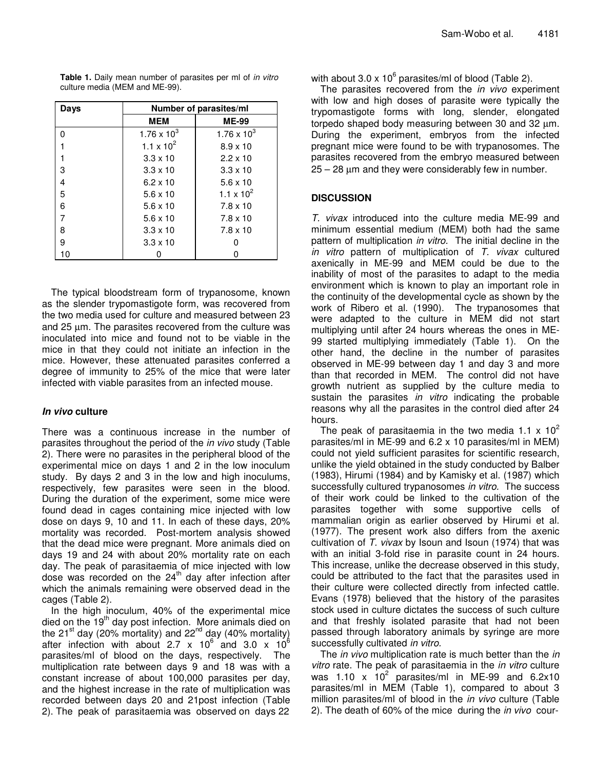| Days | Number of parasites/ml |                       |  |
|------|------------------------|-----------------------|--|
|      | <b>MEM</b>             | <b>ME-99</b>          |  |
| n    | $1.76 \times 10^{3}$   | $1.76 \times 10^{3}$  |  |
|      | 1.1 x $10^2$           | $8.9 \times 10$       |  |
|      | $3.3 \times 10$        | $2.2 \times 10$       |  |
| 3    | $3.3 \times 10$        | $3.3 \times 10$       |  |
| 4    | $6.2 \times 10$        | $5.6 \times 10$       |  |
| 5    | $5.6 \times 10$        | 1.1 x 10 <sup>2</sup> |  |
| 6    | $5.6 \times 10$        | $7.8 \times 10$       |  |
| 7    | $5.6 \times 10$        | $7.8 \times 10$       |  |
| 8    | $3.3 \times 10$        | $7.8 \times 10$       |  |
| 9    | $3.3 \times 10$        |                       |  |
| 10   |                        |                       |  |

**Table 1.** Daily mean number of parasites per ml of *in vitro* culture media (MEM and ME-99).

The typical bloodstream form of trypanosome, known as the slender trypomastigote form, was recovered from the two media used for culture and measured between 23 and 25 µm. The parasites recovered from the culture was inoculated into mice and found not to be viable in the mice in that they could not initiate an infection in the mice. However, these attenuated parasites conferred a degree of immunity to 25% of the mice that were later infected with viable parasites from an infected mouse.

### *In vivo* **culture**

There was a continuous increase in the number of parasites throughout the period of the *in vivo* study (Table 2). There were no parasites in the peripheral blood of the experimental mice on days 1 and 2 in the low inoculum study. By days 2 and 3 in the low and high inoculums, respectively, few parasites were seen in the blood. During the duration of the experiment, some mice were found dead in cages containing mice injected with low dose on days 9, 10 and 11. In each of these days, 20% mortality was recorded. Post-mortem analysis showed that the dead mice were pregnant. More animals died on days 19 and 24 with about 20% mortality rate on each day. The peak of parasitaemia of mice injected with low dose was recorded on the 24<sup>th</sup> day after infection after which the animals remaining were observed dead in the cages (Table 2).

In the high inoculum, 40% of the experimental mice died on the 19<sup>th</sup> day post infection. More animals died on the 21<sup>st</sup> day (20% mortality) and 22<sup>nd</sup> day (40% mortality) after infection with about 2.7 x  $10^6$  and 3.0 x  $10^6$ parasites/ml of blood on the days, respectively. The multiplication rate between days 9 and 18 was with a constant increase of about 100,000 parasites per day, and the highest increase in the rate of multiplication was recorded between days 20 and 21post infection (Table 2). The peak of parasitaemia was observed on days 22 with about 3.0 x 10 $^6$  parasites/ml of blood (Table 2).

The parasites recovered from the *in vivo* experiment with low and high doses of parasite were typically the trypomastigote forms with long, slender, elongated torpedo shaped body measuring between 30 and 32 µm. During the experiment, embryos from the infected pregnant mice were found to be with trypanosomes. The parasites recovered from the embryo measured between 25 – 28 µm and they were considerably few in number.

## **DISCUSSION**

*T. vivax* introduced into the culture media ME-99 and minimum essential medium (MEM) both had the same pattern of multiplication *in vitro.* The initial decline in the *in vitro* pattern of multiplication of *T. vivax* cultured axenically in ME-99 and MEM could be due to the inability of most of the parasites to adapt to the media environment which is known to play an important role in the continuity of the developmental cycle as shown by the work of Ribero et al. (1990). The trypanosomes that were adapted to the culture in MEM did not start multiplying until after 24 hours whereas the ones in ME-99 started multiplying immediately (Table 1). On the other hand, the decline in the number of parasites observed in ME-99 between day 1 and day 3 and more than that recorded in MEM. The control did not have growth nutrient as supplied by the culture media to sustain the parasites *in vitro* indicating the probable reasons why all the parasites in the control died after 24 hours.

The peak of parasitaemia in the two media 1.1 x 10<sup>2</sup> parasites/ml in ME-99 and 6.2 x 10 parasites/ml in MEM) could not yield sufficient parasites for scientific research, unlike the yield obtained in the study conducted by Balber (1983), Hirumi (1984) and by Kamisky et al. (1987) which successfully cultured trypanosomes *in vitro.* The success of their work could be linked to the cultivation of the parasites together with some supportive cells of mammalian origin as earlier observed by Hirumi et al. (1977). The present work also differs from the axenic cultivation of *T. vivax* by Isoun and Isoun (1974) that was with an initial 3-fold rise in parasite count in 24 hours. This increase, unlike the decrease observed in this study, could be attributed to the fact that the parasites used in their culture were collected directly from infected cattle. Evans (1978) believed that the history of the parasites stock used in culture dictates the success of such culture and that freshly isolated parasite that had not been passed through laboratory animals by syringe are more successfully cultivated *in vitro.*

The *in vivo* multiplication rate is much better than the *in vitro* rate. The peak of parasitaemia in the *in vitro* culture was 1.10 x  $10^2$  parasites/ml in ME-99 and 6.2x10 parasites/ml in MEM (Table 1), compared to about 3 million parasites/ml of blood in the *in vivo* culture (Table 2). The death of 60% of the mice during the *in vivo* cour-